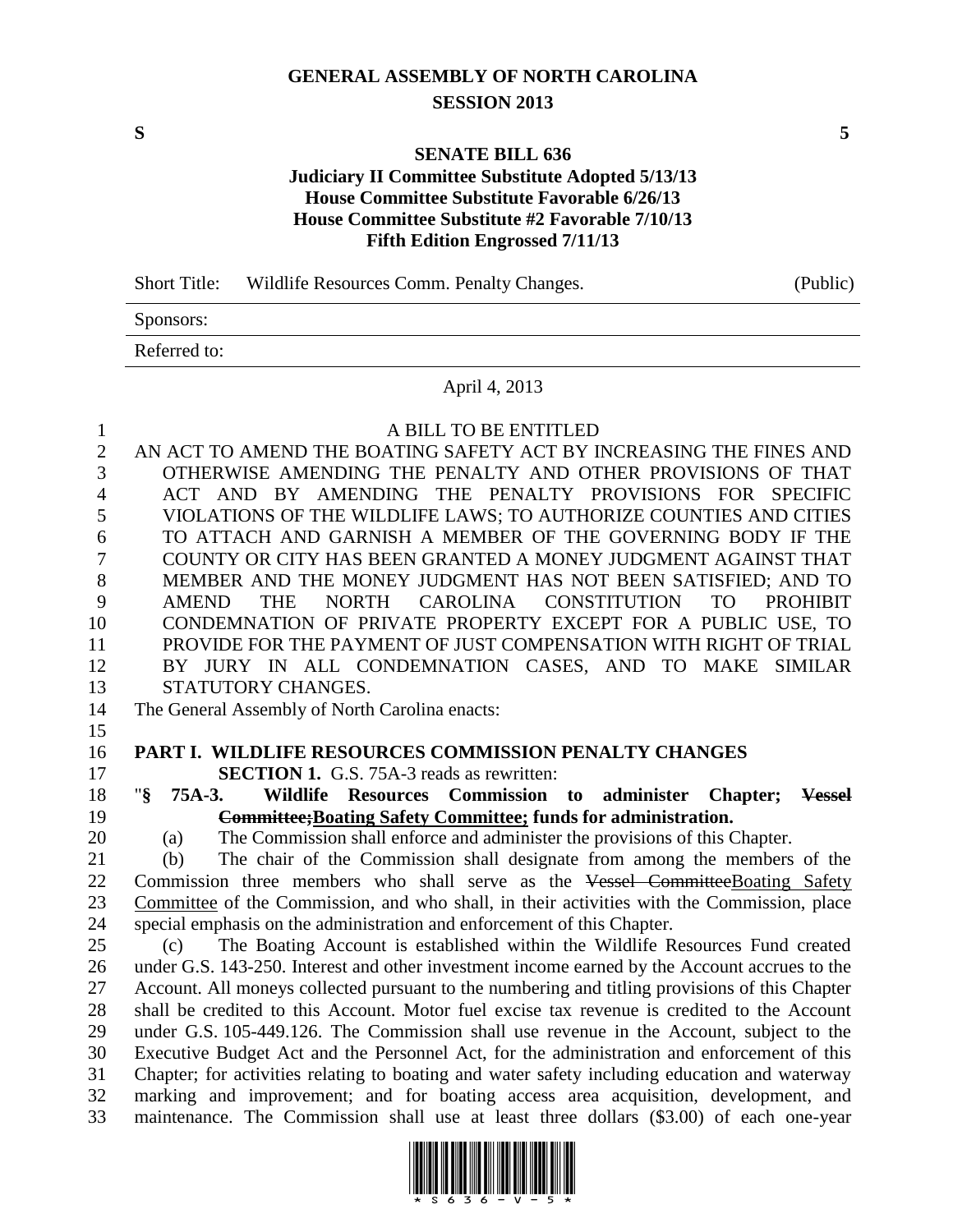# **GENERAL ASSEMBLY OF NORTH CAROLINA SESSION 2013**

### **SENATE BILL 636**

# **Judiciary II Committee Substitute Adopted 5/13/13 House Committee Substitute Favorable 6/26/13 House Committee Substitute #2 Favorable 7/10/13 Fifth Edition Engrossed 7/11/13**

| <b>Short Title:</b> | Wildlife Resources Comm. Penalty Changes. | (Public) |
|---------------------|-------------------------------------------|----------|
| Sponsors:           |                                           |          |
| Referred to:        |                                           |          |
|                     | $\mathbf{1}$ $\mathbf{1}$ $\mathbf{2}$    |          |

# April 4, 2013

 A BILL TO BE ENTITLED AN ACT TO AMEND THE BOATING SAFETY ACT BY INCREASING THE FINES AND OTHERWISE AMENDING THE PENALTY AND OTHER PROVISIONS OF THAT ACT AND BY AMENDING THE PENALTY PROVISIONS FOR SPECIFIC VIOLATIONS OF THE WILDLIFE LAWS; TO AUTHORIZE COUNTIES AND CITIES 6 TO ATTACH AND GARNISH A MEMBER OF THE GOVERNING BODY IF THE 7 COUNTY OR CITY HAS BEEN GRANTED A MONEY JUDGMENT AGAINST THAT COUNTY OR CITY HAS BEEN GRANTED A MONEY JUDGMENT AGAINST THAT MEMBER AND THE MONEY JUDGMENT HAS NOT BEEN SATISFIED; AND TO AMEND THE NORTH CAROLINA CONSTITUTION TO PROHIBIT CONDEMNATION OF PRIVATE PROPERTY EXCEPT FOR A PUBLIC USE, TO PROVIDE FOR THE PAYMENT OF JUST COMPENSATION WITH RIGHT OF TRIAL BY JURY IN ALL CONDEMNATION CASES, AND TO MAKE SIMILAR STATUTORY CHANGES. The General Assembly of North Carolina enacts: 

#### **PART I. WILDLIFE RESOURCES COMMISSION PENALTY CHANGES SECTION 1.** G.S. 75A-3 reads as rewritten:

 "**§ 75A-3. Wildlife Resources Commission to administer Chapter; Vessel Committee;Boating Safety Committee; funds for administration.**

(a) The Commission shall enforce and administer the provisions of this Chapter.

 (b) The chair of the Commission shall designate from among the members of the 22 Commission three members who shall serve as the Vessel CommitteeBoating Safety Committee of the Commission, and who shall, in their activities with the Commission, place special emphasis on the administration and enforcement of this Chapter.

 (c) The Boating Account is established within the Wildlife Resources Fund created under G.S. 143-250. Interest and other investment income earned by the Account accrues to the Account. All moneys collected pursuant to the numbering and titling provisions of this Chapter shall be credited to this Account. Motor fuel excise tax revenue is credited to the Account under G.S. 105-449.126. The Commission shall use revenue in the Account, subject to the Executive Budget Act and the Personnel Act, for the administration and enforcement of this Chapter; for activities relating to boating and water safety including education and waterway marking and improvement; and for boating access area acquisition, development, and maintenance. The Commission shall use at least three dollars (\$3.00) of each one-year

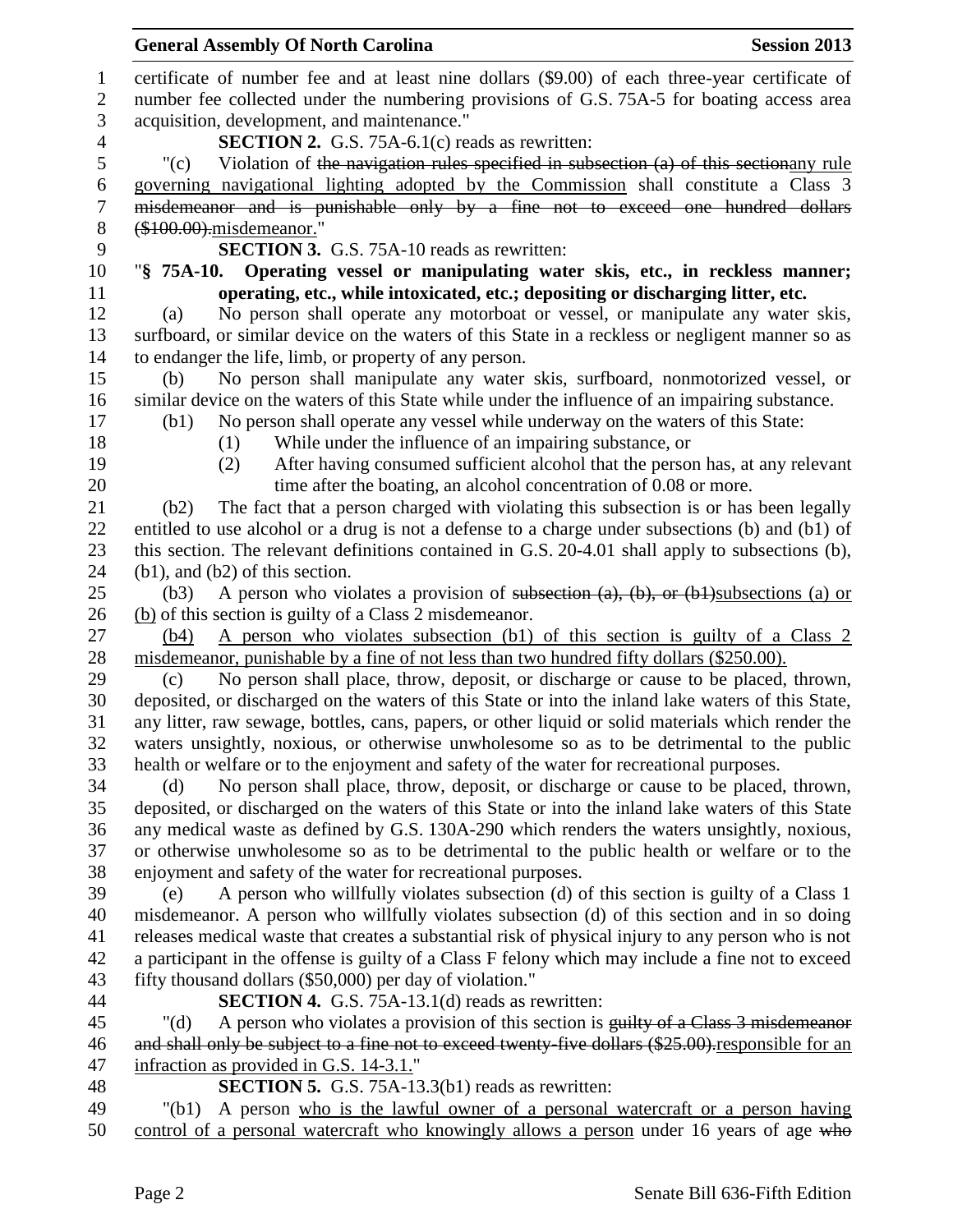|                | <b>General Assembly Of North Carolina</b><br><b>Session 2013</b>                                    |
|----------------|-----------------------------------------------------------------------------------------------------|
|                | certificate of number fee and at least nine dollars (\$9.00) of each three-year certificate of      |
| $\mathbf{2}$   | number fee collected under the numbering provisions of G.S. 75A-5 for boating access area           |
| 3              | acquisition, development, and maintenance."                                                         |
| $\overline{4}$ | <b>SECTION 2.</b> G.S. 75A-6.1 $(c)$ reads as rewritten:                                            |
| 5              | Violation of the navigation rules specified in subsection (a) of this sectionany rule<br>"(c)       |
| 6              | governing navigational lighting adopted by the Commission shall constitute a Class 3                |
| $\tau$         | misdemeanor and is punishable only by a fine not to exceed one hundred dollars                      |
| 8              | (\$100.00).misdemeanor."                                                                            |
| 9              | <b>SECTION 3.</b> G.S. 75A-10 reads as rewritten:                                                   |
| 10             | "§ 75A-10. Operating vessel or manipulating water skis, etc., in reckless manner;                   |
|                | operating, etc., while intoxicated, etc.; depositing or discharging litter, etc.                    |
| 12             | No person shall operate any motorboat or vessel, or manipulate any water skis,<br>(a)               |
| 13             | surfboard, or similar device on the waters of this State in a reckless or negligent manner so as    |
| 14             | to endanger the life, limb, or property of any person.                                              |
| 15             | No person shall manipulate any water skis, surfboard, nonmotorized vessel, or<br>(b)                |
|                | similar device on the waters of this State while under the influence of an impairing substance.     |
|                | No person shall operate any vessel while underway on the waters of this State:<br>(b1)              |
|                | While under the influence of an impairing substance, or<br>(1)                                      |
|                | After having consumed sufficient alcohol that the person has, at any relevant<br>(2)                |
|                | time after the boating, an alcohol concentration of 0.08 or more.                                   |
|                | The fact that a person charged with violating this subsection is or has been legally<br>(b2)        |
|                | entitled to use alcohol or a drug is not a defense to a charge under subsections (b) and (b1) of    |
|                | this section. The relevant definitions contained in G.S. 20-4.01 shall apply to subsections (b),    |
|                | $(b1)$ , and $(b2)$ of this section.                                                                |
|                | A person who violates a provision of subsection $(a)$ , $(b)$ , or $(b)$ subsections (a) or<br>(b3) |
|                | (b) of this section is guilty of a Class 2 misdemeanor.                                             |
|                | A person who violates subsection (b1) of this section is guilty of a Class 2<br>(b4)                |
|                | misdemeanor, punishable by a fine of not less than two hundred fifty dollars (\$250.00).            |
|                | No person shall place, throw, deposit, or discharge or cause to be placed, thrown,<br>(c)           |
|                | deposited, or discharged on the waters of this State or into the inland lake waters of this State,  |
|                | any litter, raw sewage, bottles, cans, papers, or other liquid or solid materials which render the  |
|                | waters unsightly, noxious, or otherwise unwholesome so as to be detrimental to the public           |
|                | health or welfare or to the enjoyment and safety of the water for recreational purposes.            |
|                | No person shall place, throw, deposit, or discharge or cause to be placed, thrown,<br>(d)           |
|                | deposited, or discharged on the waters of this State or into the inland lake waters of this State   |
|                | any medical waste as defined by G.S. 130A-290 which renders the waters unsightly, noxious,          |
|                | or otherwise unwholesome so as to be detrimental to the public health or welfare or to the          |
|                | enjoyment and safety of the water for recreational purposes.                                        |
|                | A person who willfully violates subsection (d) of this section is guilty of a Class 1<br>(e)        |
|                | misdemeanor. A person who willfully violates subsection (d) of this section and in so doing         |
|                | releases medical waste that creates a substantial risk of physical injury to any person who is not  |
|                | a participant in the offense is guilty of a Class F felony which may include a fine not to exceed   |
|                | fifty thousand dollars (\$50,000) per day of violation."                                            |
|                | SECTION 4. G.S. 75A-13.1(d) reads as rewritten:                                                     |
|                | A person who violates a provision of this section is guilty of a Class 3 misdemeanor<br>" $(d)$     |
|                | and shall only be subject to a fine not to exceed twenty-five dollars (\$25.00).responsible for an  |
|                | infraction as provided in G.S. 14-3.1."                                                             |
|                | <b>SECTION 5.</b> G.S. 75A-13.3(b1) reads as rewritten:                                             |
|                | A person who is the lawful owner of a personal watercraft or a person having<br>" $(b1)$            |
|                | control of a personal watercraft who knowingly allows a person under 16 years of age who            |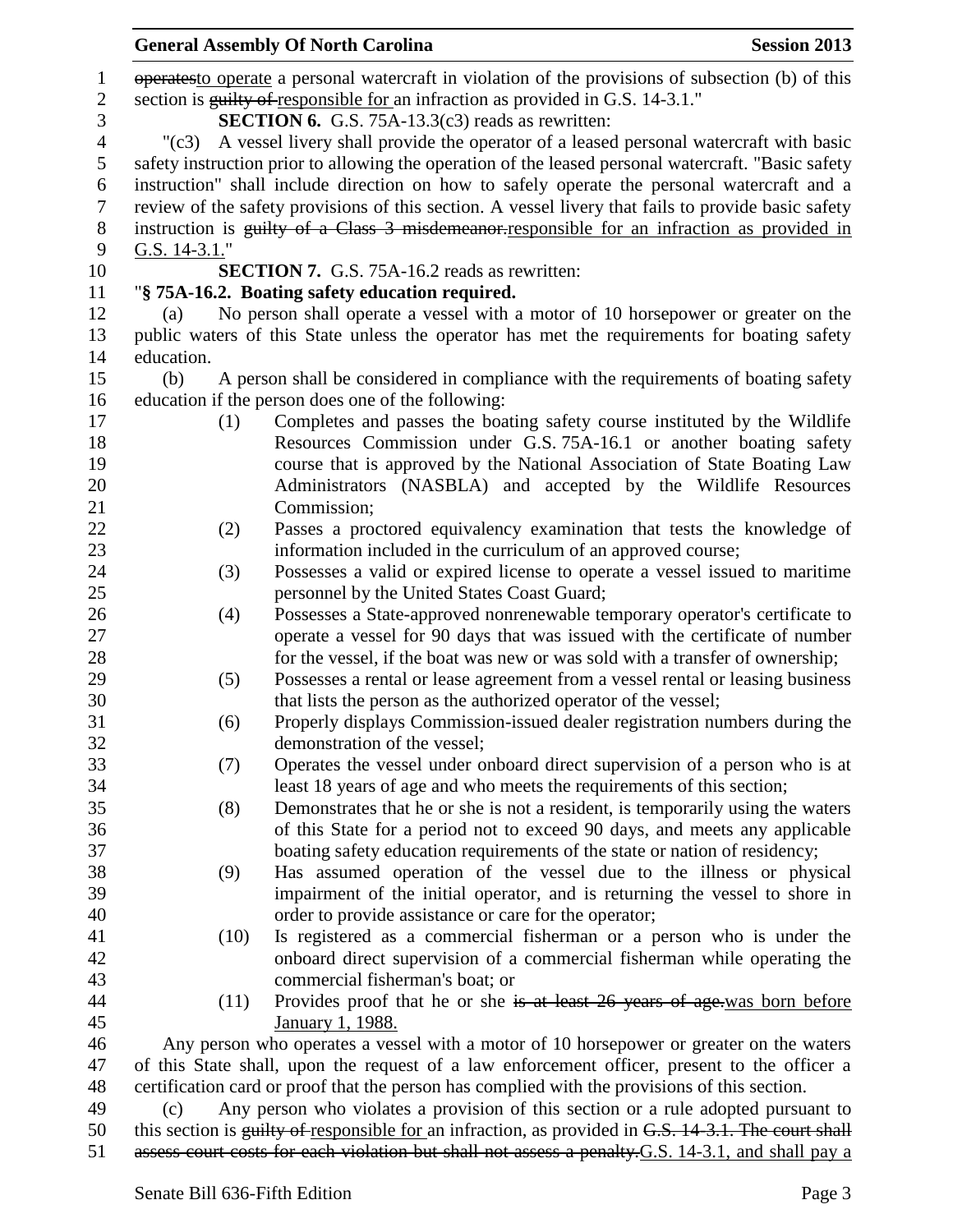|                  |                                                                                 | <b>General Assembly Of North Carolina</b>                                                            | <b>Session 2013</b> |  |  |
|------------------|---------------------------------------------------------------------------------|------------------------------------------------------------------------------------------------------|---------------------|--|--|
| $\mathbf{1}$     |                                                                                 | operates to operate a personal watercraft in violation of the provisions of subsection (b) of this   |                     |  |  |
| $\sqrt{2}$       | section is guilty of responsible for an infraction as provided in G.S. 14-3.1." |                                                                                                      |                     |  |  |
| 3                |                                                                                 | <b>SECTION 6.</b> G.S. 75A-13.3(c3) reads as rewritten:                                              |                     |  |  |
| $\overline{4}$   | $"({c}3)$                                                                       | A vessel livery shall provide the operator of a leased personal watercraft with basic                |                     |  |  |
| 5                |                                                                                 | safety instruction prior to allowing the operation of the leased personal watercraft. "Basic safety  |                     |  |  |
| 6                |                                                                                 | instruction" shall include direction on how to safely operate the personal watercraft and a          |                     |  |  |
| $\tau$           |                                                                                 | review of the safety provisions of this section. A vessel livery that fails to provide basic safety  |                     |  |  |
| $8\,$            |                                                                                 | instruction is guilty of a Class 3 misdemeanor-responsible for an infraction as provided in          |                     |  |  |
| $\boldsymbol{9}$ | G.S. 14-3.1."                                                                   |                                                                                                      |                     |  |  |
| 10               |                                                                                 | <b>SECTION 7.</b> G.S. 75A-16.2 reads as rewritten:                                                  |                     |  |  |
| 11               |                                                                                 | "§ 75A-16.2. Boating safety education required.                                                      |                     |  |  |
| 12               | (a)                                                                             | No person shall operate a vessel with a motor of 10 horsepower or greater on the                     |                     |  |  |
| 13               |                                                                                 | public waters of this State unless the operator has met the requirements for boating safety          |                     |  |  |
| 14               | education.                                                                      |                                                                                                      |                     |  |  |
| 15               | (b)                                                                             | A person shall be considered in compliance with the requirements of boating safety                   |                     |  |  |
| 16               |                                                                                 | education if the person does one of the following:                                                   |                     |  |  |
| 17               | (1)                                                                             | Completes and passes the boating safety course instituted by the Wildlife                            |                     |  |  |
| 18               |                                                                                 | Resources Commission under G.S. 75A-16.1 or another boating safety                                   |                     |  |  |
| 19               |                                                                                 | course that is approved by the National Association of State Boating Law                             |                     |  |  |
|                  |                                                                                 | Administrators (NASBLA) and accepted by the Wildlife Resources                                       |                     |  |  |
| 20               |                                                                                 | Commission;                                                                                          |                     |  |  |
| 21               |                                                                                 |                                                                                                      |                     |  |  |
| 22               | (2)                                                                             | Passes a proctored equivalency examination that tests the knowledge of                               |                     |  |  |
| 23               |                                                                                 | information included in the curriculum of an approved course;                                        |                     |  |  |
| 24<br>25         | (3)                                                                             | Possesses a valid or expired license to operate a vessel issued to maritime                          |                     |  |  |
|                  |                                                                                 | personnel by the United States Coast Guard;                                                          |                     |  |  |
| 26               | (4)                                                                             | Possesses a State-approved nonrenewable temporary operator's certificate to                          |                     |  |  |
| 27               |                                                                                 | operate a vessel for 90 days that was issued with the certificate of number                          |                     |  |  |
| 28               |                                                                                 | for the vessel, if the boat was new or was sold with a transfer of ownership;                        |                     |  |  |
| 29               | (5)                                                                             | Possesses a rental or lease agreement from a vessel rental or leasing business                       |                     |  |  |
| 30               |                                                                                 | that lists the person as the authorized operator of the vessel;                                      |                     |  |  |
| 31               | (6)                                                                             | Properly displays Commission-issued dealer registration numbers during the                           |                     |  |  |
| 32               |                                                                                 | demonstration of the vessel;                                                                         |                     |  |  |
| 33               | (7)                                                                             | Operates the vessel under onboard direct supervision of a person who is at                           |                     |  |  |
| 34               |                                                                                 | least 18 years of age and who meets the requirements of this section;                                |                     |  |  |
| 35               | (8)                                                                             | Demonstrates that he or she is not a resident, is temporarily using the waters                       |                     |  |  |
| 36               |                                                                                 | of this State for a period not to exceed 90 days, and meets any applicable                           |                     |  |  |
| 37               |                                                                                 | boating safety education requirements of the state or nation of residency;                           |                     |  |  |
| 38               | (9)                                                                             | Has assumed operation of the vessel due to the illness or physical                                   |                     |  |  |
| 39               |                                                                                 | impairment of the initial operator, and is returning the vessel to shore in                          |                     |  |  |
| 40               |                                                                                 | order to provide assistance or care for the operator;                                                |                     |  |  |
| 41               | (10)                                                                            | Is registered as a commercial fisherman or a person who is under the                                 |                     |  |  |
| 42               |                                                                                 | onboard direct supervision of a commercial fisherman while operating the                             |                     |  |  |
| 43               |                                                                                 | commercial fisherman's boat; or                                                                      |                     |  |  |
| 44               | (11)                                                                            | Provides proof that he or she is at least 26 years of age was born before                            |                     |  |  |
| 45               |                                                                                 | January 1, 1988.                                                                                     |                     |  |  |
| 46               |                                                                                 | Any person who operates a vessel with a motor of 10 horsepower or greater on the waters              |                     |  |  |
| 47               |                                                                                 | of this State shall, upon the request of a law enforcement officer, present to the officer a         |                     |  |  |
| 48               |                                                                                 | certification card or proof that the person has complied with the provisions of this section.        |                     |  |  |
| 49               | (c)                                                                             | Any person who violates a provision of this section or a rule adopted pursuant to                    |                     |  |  |
| 50               |                                                                                 | this section is guilty of responsible for an infraction, as provided in G.S. 14-3.1. The court shall |                     |  |  |

51 assess court costs for each violation but shall not assess a penalty. G.S. 14-3.1, and shall pay a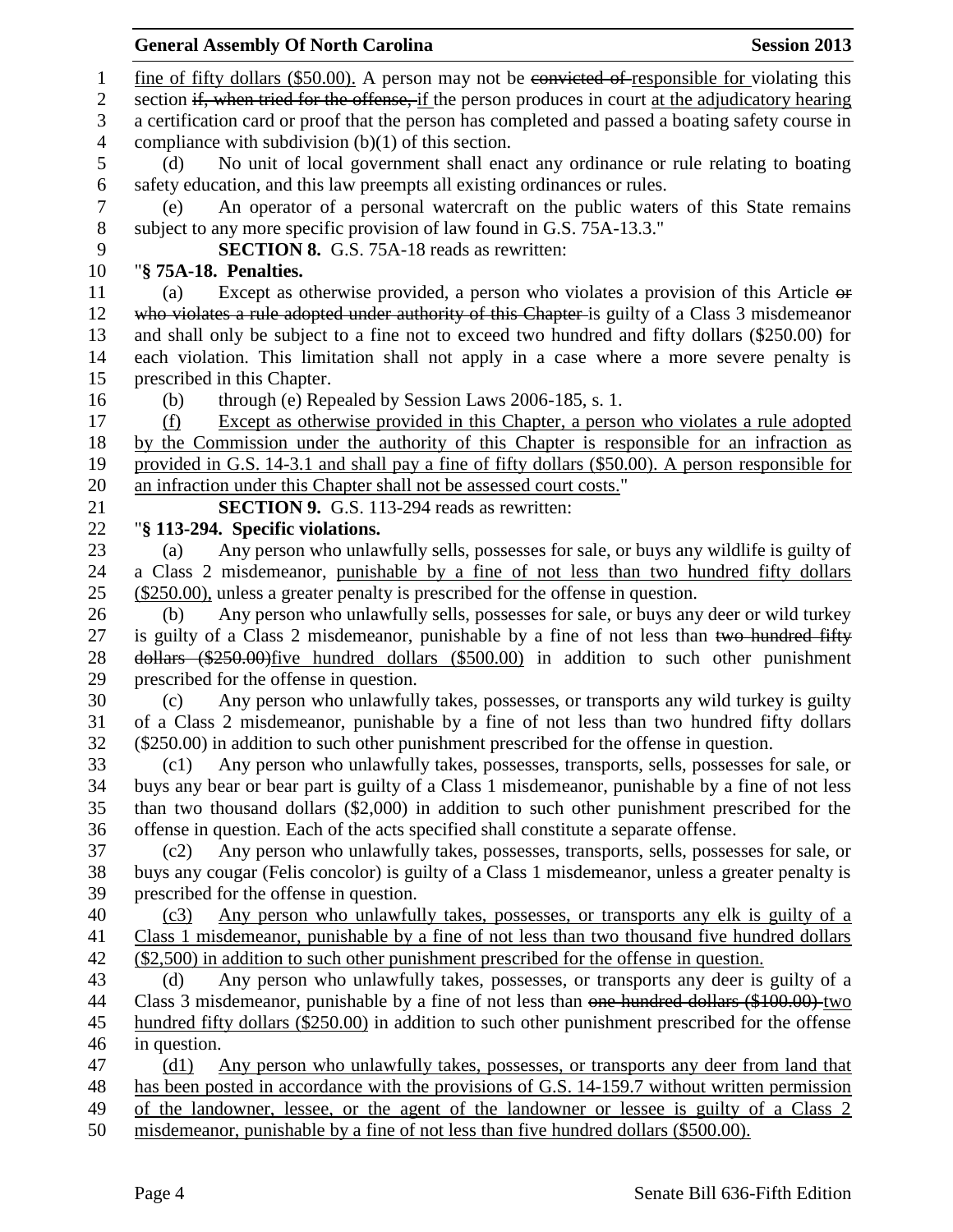1 fine of fifty dollars (\$50.00). A person may not be convicted of responsible for violating this 2 section if, when tried for the offense, if the person produces in court at the adjudicatory hearing a certification card or proof that the person has completed and passed a boating safety course in compliance with subdivision (b)(1) of this section. (d) No unit of local government shall enact any ordinance or rule relating to boating safety education, and this law preempts all existing ordinances or rules. (e) An operator of a personal watercraft on the public waters of this State remains subject to any more specific provision of law found in G.S. 75A-13.3." **SECTION 8.** G.S. 75A-18 reads as rewritten: "**§ 75A-18. Penalties.** (a) Except as otherwise provided, a person who violates a provision of this Article or 12 who violates a rule adopted under authority of this Chapter is guilty of a Class 3 misdemeanor and shall only be subject to a fine not to exceed two hundred and fifty dollars (\$250.00) for each violation. This limitation shall not apply in a case where a more severe penalty is prescribed in this Chapter. (b) through (e) Repealed by Session Laws 2006-185, s. 1. (f) Except as otherwise provided in this Chapter, a person who violates a rule adopted by the Commission under the authority of this Chapter is responsible for an infraction as provided in G.S. 14-3.1 and shall pay a fine of fifty dollars (\$50.00). A person responsible for an infraction under this Chapter shall not be assessed court costs." **SECTION 9.** G.S. 113-294 reads as rewritten: "**§ 113-294. Specific violations.** (a) Any person who unlawfully sells, possesses for sale, or buys any wildlife is guilty of a Class 2 misdemeanor, punishable by a fine of not less than two hundred fifty dollars (\$250.00), unless a greater penalty is prescribed for the offense in question. (b) Any person who unlawfully sells, possesses for sale, or buys any deer or wild turkey 27 is guilty of a Class 2 misdemeanor, punishable by a fine of not less than two hundred fifty dollars (\$250.00)five hundred dollars (\$500.00) in addition to such other punishment prescribed for the offense in question. (c) Any person who unlawfully takes, possesses, or transports any wild turkey is guilty of a Class 2 misdemeanor, punishable by a fine of not less than two hundred fifty dollars (\$250.00) in addition to such other punishment prescribed for the offense in question. (c1) Any person who unlawfully takes, possesses, transports, sells, possesses for sale, or buys any bear or bear part is guilty of a Class 1 misdemeanor, punishable by a fine of not less than two thousand dollars (\$2,000) in addition to such other punishment prescribed for the offense in question. Each of the acts specified shall constitute a separate offense. (c2) Any person who unlawfully takes, possesses, transports, sells, possesses for sale, or buys any cougar (Felis concolor) is guilty of a Class 1 misdemeanor, unless a greater penalty is prescribed for the offense in question. (c3) Any person who unlawfully takes, possesses, or transports any elk is guilty of a Class 1 misdemeanor, punishable by a fine of not less than two thousand five hundred dollars (\$2,500) in addition to such other punishment prescribed for the offense in question. (d) Any person who unlawfully takes, possesses, or transports any deer is guilty of a 44 Class 3 misdemeanor, punishable by a fine of not less than one hundred dollars (\$100.00) two hundred fifty dollars (\$250.00) in addition to such other punishment prescribed for the offense in question. (d1) Any person who unlawfully takes, possesses, or transports any deer from land that has been posted in accordance with the provisions of G.S. 14-159.7 without written permission of the landowner, lessee, or the agent of the landowner or lessee is guilty of a Class 2 misdemeanor, punishable by a fine of not less than five hundred dollars (\$500.00).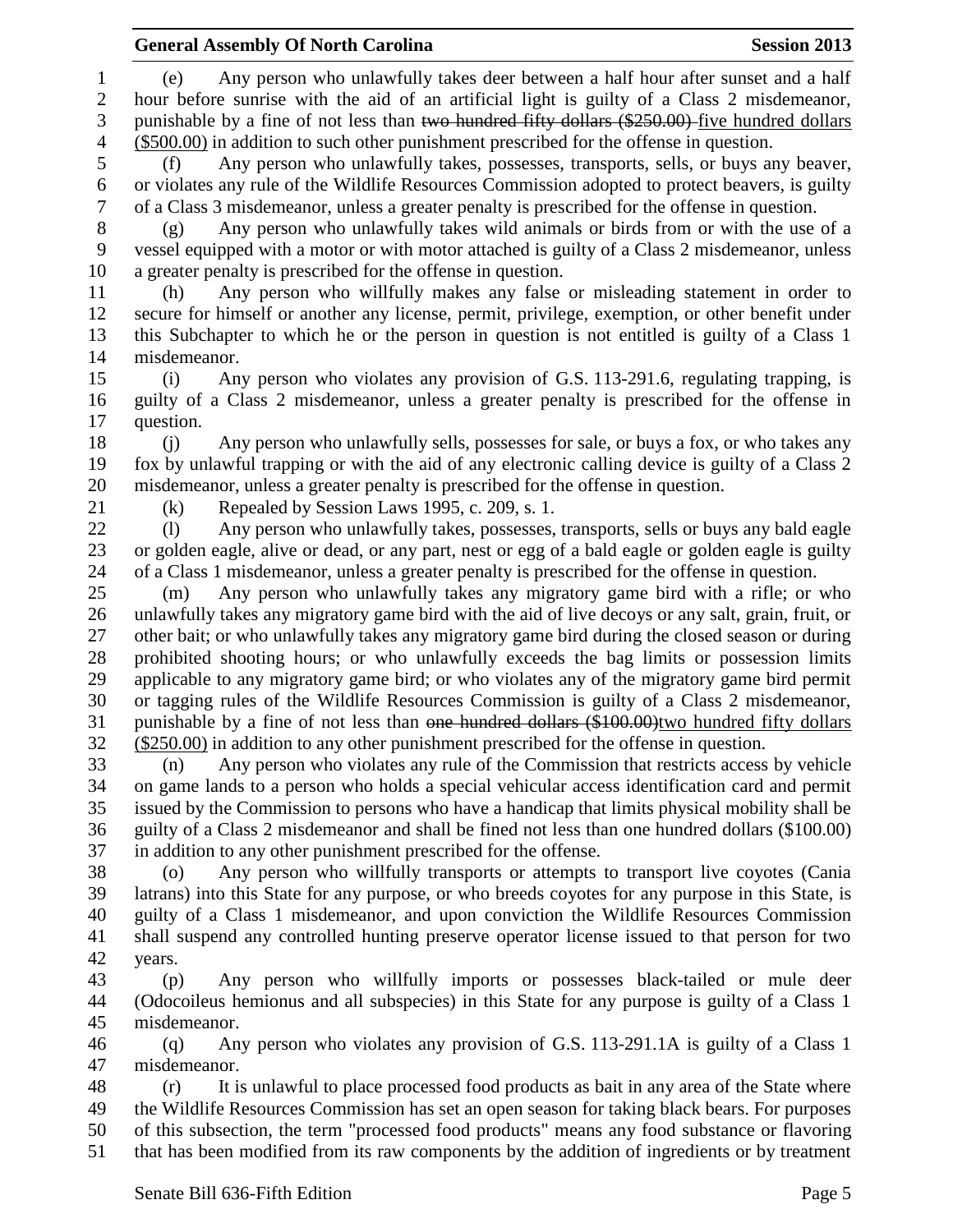# **General Assembly Of North Carolina Session 2013**

 (e) Any person who unlawfully takes deer between a half hour after sunset and a half hour before sunrise with the aid of an artificial light is guilty of a Class 2 misdemeanor, punishable by a fine of not less than two hundred fifty dollars (\$250.00) five hundred dollars (\$500.00) in addition to such other punishment prescribed for the offense in question.

 (f) Any person who unlawfully takes, possesses, transports, sells, or buys any beaver, or violates any rule of the Wildlife Resources Commission adopted to protect beavers, is guilty of a Class 3 misdemeanor, unless a greater penalty is prescribed for the offense in question.

 (g) Any person who unlawfully takes wild animals or birds from or with the use of a vessel equipped with a motor or with motor attached is guilty of a Class 2 misdemeanor, unless a greater penalty is prescribed for the offense in question.

 (h) Any person who willfully makes any false or misleading statement in order to secure for himself or another any license, permit, privilege, exemption, or other benefit under this Subchapter to which he or the person in question is not entitled is guilty of a Class 1 misdemeanor.

 (i) Any person who violates any provision of G.S. 113-291.6, regulating trapping, is guilty of a Class 2 misdemeanor, unless a greater penalty is prescribed for the offense in question.

 (j) Any person who unlawfully sells, possesses for sale, or buys a fox, or who takes any fox by unlawful trapping or with the aid of any electronic calling device is guilty of a Class 2 misdemeanor, unless a greater penalty is prescribed for the offense in question.

(k) Repealed by Session Laws 1995, c. 209, s. 1.

 (l) Any person who unlawfully takes, possesses, transports, sells or buys any bald eagle or golden eagle, alive or dead, or any part, nest or egg of a bald eagle or golden eagle is guilty of a Class 1 misdemeanor, unless a greater penalty is prescribed for the offense in question.

 (m) Any person who unlawfully takes any migratory game bird with a rifle; or who unlawfully takes any migratory game bird with the aid of live decoys or any salt, grain, fruit, or other bait; or who unlawfully takes any migratory game bird during the closed season or during prohibited shooting hours; or who unlawfully exceeds the bag limits or possession limits applicable to any migratory game bird; or who violates any of the migratory game bird permit or tagging rules of the Wildlife Resources Commission is guilty of a Class 2 misdemeanor, punishable by a fine of not less than one hundred dollars (\$100.00)two hundred fifty dollars (\$250.00) in addition to any other punishment prescribed for the offense in question.

 (n) Any person who violates any rule of the Commission that restricts access by vehicle on game lands to a person who holds a special vehicular access identification card and permit issued by the Commission to persons who have a handicap that limits physical mobility shall be guilty of a Class 2 misdemeanor and shall be fined not less than one hundred dollars (\$100.00) in addition to any other punishment prescribed for the offense.

 (o) Any person who willfully transports or attempts to transport live coyotes (Cania latrans) into this State for any purpose, or who breeds coyotes for any purpose in this State, is guilty of a Class 1 misdemeanor, and upon conviction the Wildlife Resources Commission shall suspend any controlled hunting preserve operator license issued to that person for two years.

 (p) Any person who willfully imports or possesses black-tailed or mule deer (Odocoileus hemionus and all subspecies) in this State for any purpose is guilty of a Class 1 misdemeanor.

 (q) Any person who violates any provision of G.S. 113-291.1A is guilty of a Class 1 misdemeanor.

 (r) It is unlawful to place processed food products as bait in any area of the State where the Wildlife Resources Commission has set an open season for taking black bears. For purposes of this subsection, the term "processed food products" means any food substance or flavoring that has been modified from its raw components by the addition of ingredients or by treatment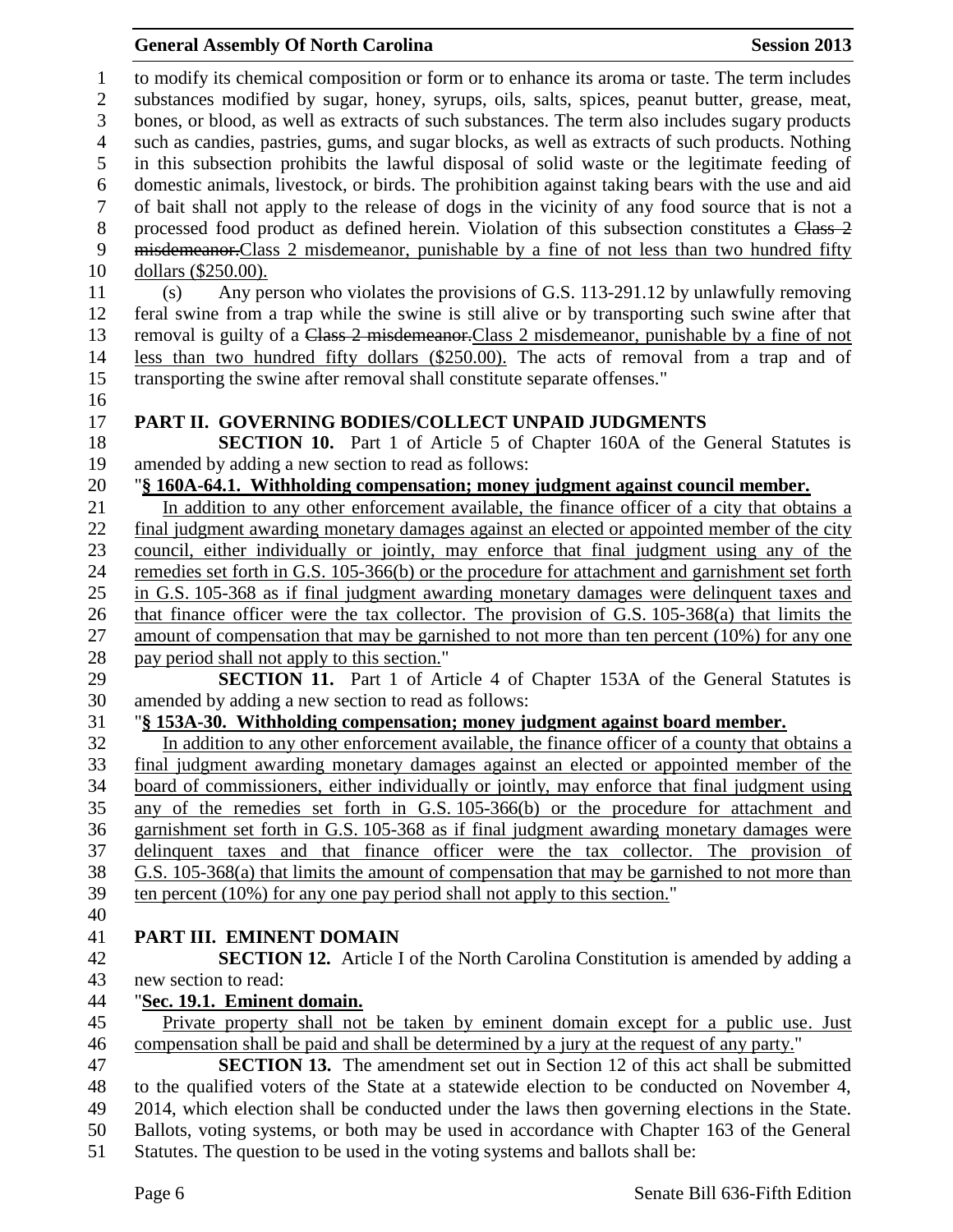## **General Assembly Of North Carolina Session 2013**

 to modify its chemical composition or form or to enhance its aroma or taste. The term includes substances modified by sugar, honey, syrups, oils, salts, spices, peanut butter, grease, meat, bones, or blood, as well as extracts of such substances. The term also includes sugary products such as candies, pastries, gums, and sugar blocks, as well as extracts of such products. Nothing in this subsection prohibits the lawful disposal of solid waste or the legitimate feeding of domestic animals, livestock, or birds. The prohibition against taking bears with the use and aid of bait shall not apply to the release of dogs in the vicinity of any food source that is not a 8 processed food product as defined herein. Violation of this subsection constitutes a Class 2 misdemeanor.Class 2 misdemeanor, punishable by a fine of not less than two hundred fifty dollars (\$250.00). (s) Any person who violates the provisions of G.S. 113-291.12 by unlawfully removing feral swine from a trap while the swine is still alive or by transporting such swine after that 13 removal is guilty of a Class 2 misdemeanor. Class 2 misdemeanor, punishable by a fine of not less than two hundred fifty dollars (\$250.00). The acts of removal from a trap and of transporting the swine after removal shall constitute separate offenses." **PART II. GOVERNING BODIES/COLLECT UNPAID JUDGMENTS SECTION 10.** Part 1 of Article 5 of Chapter 160A of the General Statutes is amended by adding a new section to read as follows: "**§ 160A-64.1. Withholding compensation; money judgment against council member.** In addition to any other enforcement available, the finance officer of a city that obtains a final judgment awarding monetary damages against an elected or appointed member of the city council, either individually or jointly, may enforce that final judgment using any of the remedies set forth in G.S. 105-366(b) or the procedure for attachment and garnishment set forth in G.S. 105-368 as if final judgment awarding monetary damages were delinquent taxes and that finance officer were the tax collector. The provision of G.S. 105-368(a) that limits the amount of compensation that may be garnished to not more than ten percent (10%) for any one 28 pay period shall not apply to this section." **SECTION 11.** Part 1 of Article 4 of Chapter 153A of the General Statutes is amended by adding a new section to read as follows: "**§ 153A-30. Withholding compensation; money judgment against board member.** In addition to any other enforcement available, the finance officer of a county that obtains a final judgment awarding monetary damages against an elected or appointed member of the board of commissioners, either individually or jointly, may enforce that final judgment using any of the remedies set forth in G.S. 105-366(b) or the procedure for attachment and garnishment set forth in G.S. 105-368 as if final judgment awarding monetary damages were delinquent taxes and that finance officer were the tax collector. The provision of G.S. 105-368(a) that limits the amount of compensation that may be garnished to not more than ten percent (10%) for any one pay period shall not apply to this section." **PART III. EMINENT DOMAIN SECTION 12.** Article I of the North Carolina Constitution is amended by adding a new section to read: "**Sec. 19.1. Eminent domain.** Private property shall not be taken by eminent domain except for a public use. Just compensation shall be paid and shall be determined by a jury at the request of any party." **SECTION 13.** The amendment set out in Section 12 of this act shall be submitted to the qualified voters of the State at a statewide election to be conducted on November 4, 2014, which election shall be conducted under the laws then governing elections in the State. Ballots, voting systems, or both may be used in accordance with Chapter 163 of the General Statutes. The question to be used in the voting systems and ballots shall be: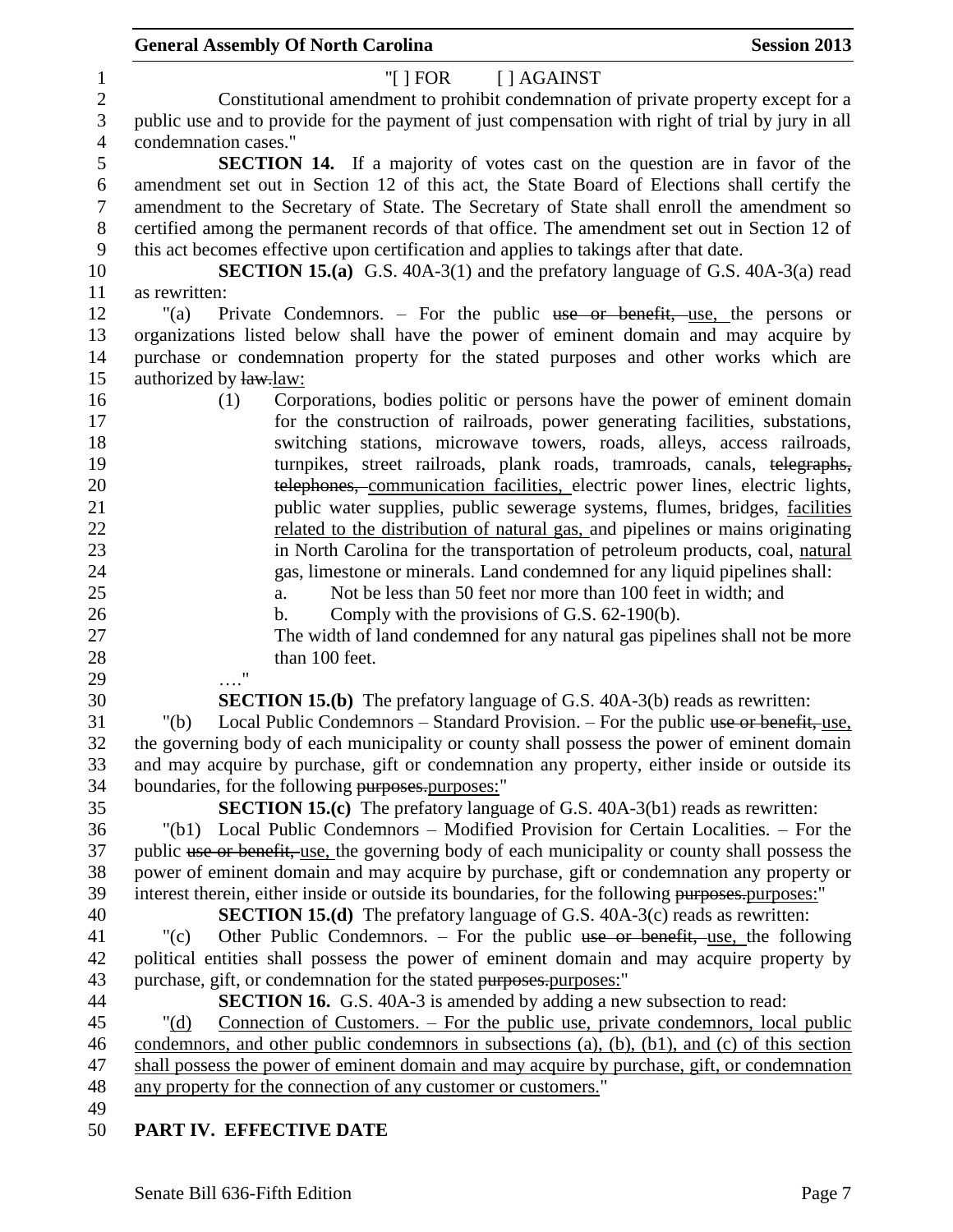|                  | <b>General Assembly Of North Carolina</b><br><b>Session 2013</b>                                             |  |
|------------------|--------------------------------------------------------------------------------------------------------------|--|
| 1                | "[ $ $ FOR<br>[ ] AGAINST                                                                                    |  |
| $\sqrt{2}$       | Constitutional amendment to prohibit condemnation of private property except for a                           |  |
| 3                | public use and to provide for the payment of just compensation with right of trial by jury in all            |  |
| $\overline{4}$   | condemnation cases."                                                                                         |  |
| 5                | <b>SECTION 14.</b> If a majority of votes cast on the question are in favor of the                           |  |
| $\boldsymbol{6}$ | amendment set out in Section 12 of this act, the State Board of Elections shall certify the                  |  |
| $\tau$           | amendment to the Secretary of State. The Secretary of State shall enroll the amendment so                    |  |
| $8\,$            | certified among the permanent records of that office. The amendment set out in Section 12 of                 |  |
| $\boldsymbol{9}$ | this act becomes effective upon certification and applies to takings after that date.                        |  |
| 10               | <b>SECTION 15.(a)</b> G.S. 40A-3(1) and the prefatory language of G.S. 40A-3(a) read                         |  |
| 11               | as rewritten:                                                                                                |  |
| 12               | Private Condemnors. – For the public use or benefit, use, the persons or<br>"(a)                             |  |
| 13               | organizations listed below shall have the power of eminent domain and may acquire by                         |  |
| 14               | purchase or condemnation property for the stated purposes and other works which are                          |  |
| 15               | authorized by law.law:                                                                                       |  |
| 16               | Corporations, bodies politic or persons have the power of eminent domain<br>(1)                              |  |
| 17               | for the construction of railroads, power generating facilities, substations,                                 |  |
| 18               | switching stations, microwave towers, roads, alleys, access railroads,                                       |  |
| 19               | turnpikes, street railroads, plank roads, tramroads, canals, telegraphs,                                     |  |
| 20               | telephones, communication facilities, electric power lines, electric lights,                                 |  |
| 21               | public water supplies, public sewerage systems, flumes, bridges, facilities                                  |  |
| 22               | related to the distribution of natural gas, and pipelines or mains originating                               |  |
| 23               | in North Carolina for the transportation of petroleum products, coal, natural                                |  |
| 24               | gas, limestone or minerals. Land condemned for any liquid pipelines shall:                                   |  |
| 25               | Not be less than 50 feet nor more than 100 feet in width; and<br>a.                                          |  |
| 26               | Comply with the provisions of G.S. 62-190(b).<br>b.                                                          |  |
| 27               | The width of land condemned for any natural gas pipelines shall not be more                                  |  |
| 28               | than 100 feet.                                                                                               |  |
| 29               | $\pmb{\mathsf{H}}$                                                                                           |  |
| 30               | <b>SECTION 15.(b)</b> The prefatory language of G.S. 40A-3(b) reads as rewritten:                            |  |
| 31               | Local Public Condemnors – Standard Provision. – For the public use or benefit, use,<br>" $(b)$               |  |
| 32               | the governing body of each municipality or county shall possess the power of eminent domain                  |  |
| 33               | and may acquire by purchase, gift or condemnation any property, either inside or outside its                 |  |
| 34               | boundaries, for the following purposes.purposes:"                                                            |  |
| 35               | SECTION 15.(c) The prefatory language of G.S. 40A-3(b1) reads as rewritten:                                  |  |
| 36               | "(b1) Local Public Condemnors – Modified Provision for Certain Localities. – For the                         |  |
| 37               | public use or benefit, use, the governing body of each municipality or county shall possess the              |  |
| 38               | power of eminent domain and may acquire by purchase, gift or condemnation any property or                    |  |
| 39               | interest therein, either inside or outside its boundaries, for the following purposes. purposes:"            |  |
| 40               | <b>SECTION 15.(d)</b> The prefatory language of G.S. 40A-3(c) reads as rewritten:                            |  |
| 41               | Other Public Condemnors. - For the public use or benefit, use, the following<br>"(c)                         |  |
| 42               | political entities shall possess the power of eminent domain and may acquire property by                     |  |
| 43               | purchase, gift, or condemnation for the stated purposes. purposes:"                                          |  |
| 44               | <b>SECTION 16.</b> G.S. 40A-3 is amended by adding a new subsection to read:                                 |  |
| 45               | <u>Connection of Customers. – For the public use, private condemnors, local public</u><br>" $(d)$            |  |
| 46               | condemnors, and other public condemnors in subsections $(a)$ , $(b)$ , $(b)$ , $(a)$ , $(c)$ of this section |  |
| 47               | shall possess the power of eminent domain and may acquire by purchase, gift, or condemnation                 |  |
| 48               | any property for the connection of any customer or customers."                                               |  |
| 49               |                                                                                                              |  |
| 50               | PART IV. EFFECTIVE DATE                                                                                      |  |